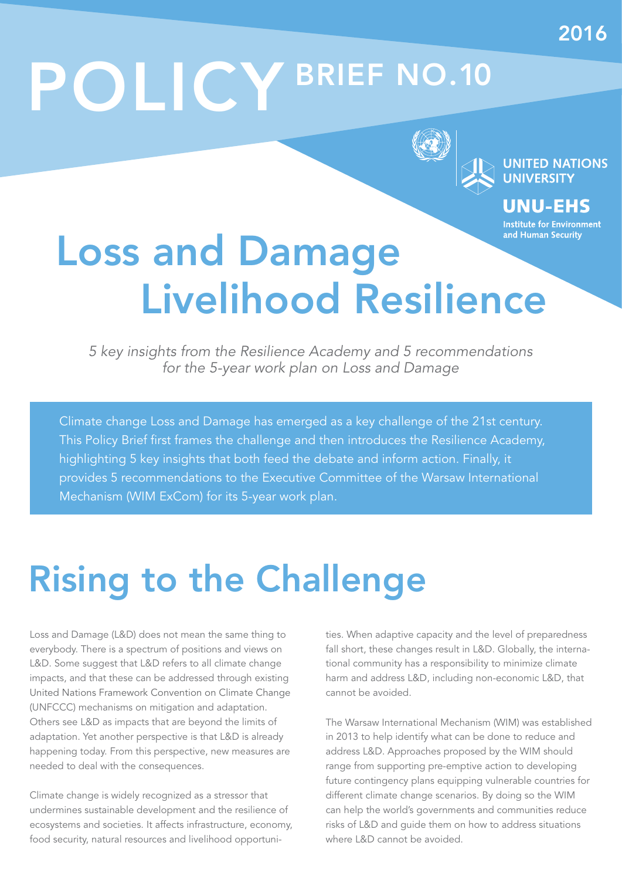# POLICY BRIEF NO.10



**UNITED NATIONS** 

UNU-EHS **Institute for Environment** 

### and Human Security Loss and Damage Livelihood Resilience

5 key insights from the Resilience Academy and 5 recommendations for the 5-year work plan on Loss and Damage

Climate change Loss and Damage has emerged as a key challenge of the 21st century. This Policy Brief first frames the challenge and then introduces the Resilience Academy, highlighting 5 key insights that both feed the debate and inform action. Finally, it provides 5 recommendations to the Executive Committee of the Warsaw International Mechanism (WIM ExCom) for its 5-year work plan.

# Rising to the Challenge

Loss and Damage (L&D) does not mean the same thing to everybody. There is a spectrum of positions and views on L&D. Some suggest that L&D refers to all climate change impacts, and that these can be addressed through existing United Nations Framework Convention on Climate Change (UNFCCC) mechanisms on mitigation and adaptation. Others see L&D as impacts that are beyond the limits of adaptation. Yet another perspective is that L&D is already happening today. From this perspective, new measures are needed to deal with the consequences.

Climate change is widely recognized as a stressor that undermines sustainable development and the resilience of ecosystems and societies. It affects infrastructure, economy, food security, natural resources and livelihood opportunities. When adaptive capacity and the level of preparedness fall short, these changes result in L&D. Globally, the international community has a responsibility to minimize climate harm and address L&D, including non-economic L&D, that cannot be avoided.

The Warsaw International Mechanism (WIM) was established in 2013 to help identify what can be done to reduce and address L&D. Approaches proposed by the WIM should range from supporting pre-emptive action to developing future contingency plans equipping vulnerable countries for different climate change scenarios. By doing so the WIM can help the world's governments and communities reduce risks of L&D and guide them on how to address situations where L&D cannot be avoided.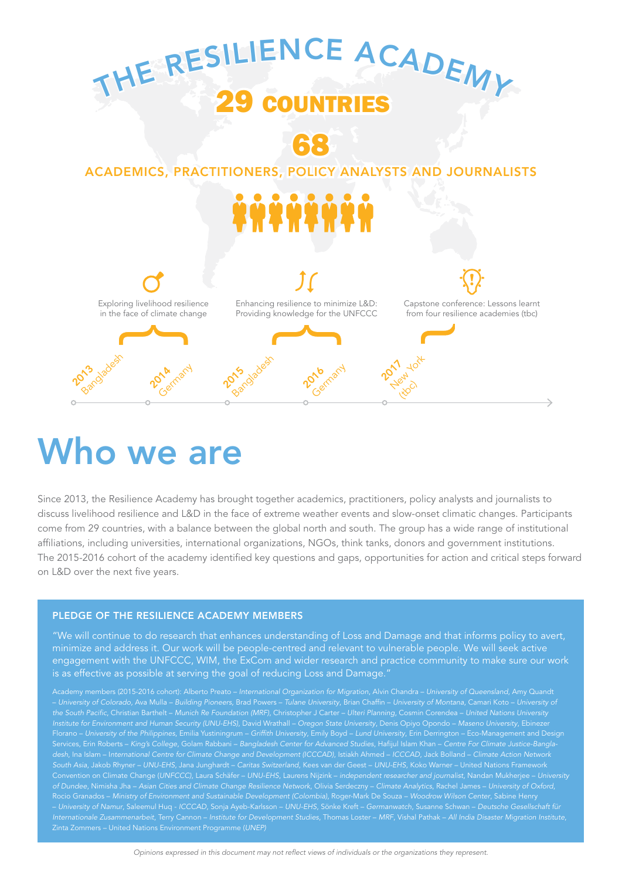

# Who we are

Since 2013, the Resilience Academy has brought together academics, practitioners, policy analysts and journalists to discuss livelihood resilience and L&D in the face of extreme weather events and slow-onset climatic changes. Participants come from 29 countries, with a balance between the global north and south. The group has a wide range of institutional affiliations, including universities, international organizations, NGOs, think tanks, donors and government institutions. The 2015-2016 cohort of the academy identified key questions and gaps, opportunities for action and critical steps forward on L&D over the next five years.

#### PLEDGE OF THE RESILIENCE ACADEMY MEMBERS

"We will continue to do research that enhances understanding of Loss and Damage and that informs policy to avert, minimize and address it. Our work will be people-centred and relevant to vulnerable people. We will seek active engagement with the UNFCCC, WIM, the ExCom and wider research and practice community to make sure our work is as effective as possible at serving the goal of reducing Loss and Damage."

Florano – University of the Philippines, Emilia Yustiningrum – Griffith University, Emily Boyd – Lund University, Erin Derrington – Eco-Management and Design Services, Erin Roberts – King's College, Golam Rabbani – Bangladesh Center for Advanced Studies, Hafijul Islam Khan – Centre For Climate Justice-Bangladesh, Ina Islam – International Centre for Climate Change and Development (ICCCAD), Istiakh Ahmed – ICCCAD, Jack Bolland – Climate Action Network Convention on Climate Change (UNFCCC), Laura Schäfer – UNU-EHS, Laurens Nijzink – independent researcher and journalist, Nandan Mukherjee – University of Dundee, Nimisha Jha – Asian Cities and Climate Change Resilience Network, Olivia Serdeczny – Climate Analytics, Rachel James – University of Oxford, – University of Namur, Saleemul Huq - ICCCAD, Sonja Ayeb-Karlsson – UNU-EHS, Sönke Kreft – Germanwatch, Susanne Schwan – Deutsche Gesellschaft für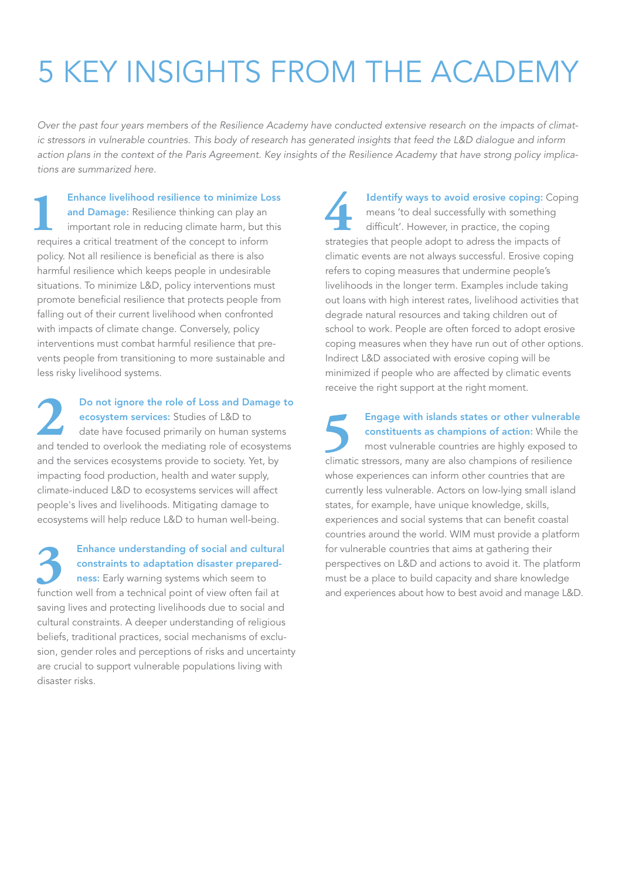# 5 KEY INSIGHTS FROM THE ACADEMY

Over the past four years members of the Resilience Academy have conducted extensive research on the impacts of climatic stressors in vulnerable countries. This body of research has generated insights that feed the L&D dialogue and inform action plans in the context of the Paris Agreement. Key insights of the Resilience Academy that have strong policy implications are summarized here.

**1 • Enhance livelihood resilience to minimize Loss<br>
<b>2 • and Damage:** Resilience thinking can play an<br>
important role in reducing climate harm, but this<br>
requires a critical treatment of the concept to inform and Damage: Resilience thinking can play an important role in reducing climate harm, but this requires a critical treatment of the concept to inform policy. Not all resilience is beneficial as there is also harmful resilience which keeps people in undesirable situations. To minimize L&D, policy interventions must promote beneficial resilience that protects people from falling out of their current livelihood when confronted with impacts of climate change. Conversely, policy interventions must combat harmful resilience that prevents people from transitioning to more sustainable and less risky livelihood systems.

**2** Do not ignore the role of Loss and Damage to ecosystem services: Studies of L&D to date have focused primarily on human systems and tended to overlook the mediating role of ecosystems and the services ecosystems provide to society. Yet, by impacting food production, health and water supply, climate-induced L&D to ecosystems services will affect people's lives and livelihoods. Mitigating damage to ecosystems will help reduce L&D to human well-being.

**3** Enhance understanding of social and cultural constraints to adaptation disaster preparedness: Early warning systems which seem to function well from a technical point of view often fail at saving lives and protecting livelihoods due to social and cultural constraints. A deeper understanding of religious beliefs, traditional practices, social mechanisms of exclusion, gender roles and perceptions of risks and uncertainty are crucial to support vulnerable populations living with disaster risks.

**Identify ways to avoid erosive coping: Coping** means 'to deal successfully with something difficult'. However, in practice, the coping strategies that people adopt to adress the impacts of climatic events are not always successful. Erosive coping refers to coping measures that undermine people's livelihoods in the longer term. Examples include taking out loans with high interest rates, livelihood activities that degrade natural resources and taking children out of school to work. People are often forced to adopt erosive coping measures when they have run out of other options. Indirect L&D associated with erosive coping will be minimized if people who are affected by climatic events receive the right support at the right moment.

**5** Engage with islands states or other vulnerable constituents as champions of action: While the most vulnerable countries are highly exposed to climatic stressors, many are also champions of resilience whose experiences can inform other countries that are currently less vulnerable. Actors on low-lying small island states, for example, have unique knowledge, skills, experiences and social systems that can benefit coastal countries around the world. WIM must provide a platform for vulnerable countries that aims at gathering their perspectives on L&D and actions to avoid it. The platform must be a place to build capacity and share knowledge and experiences about how to best avoid and manage L&D.